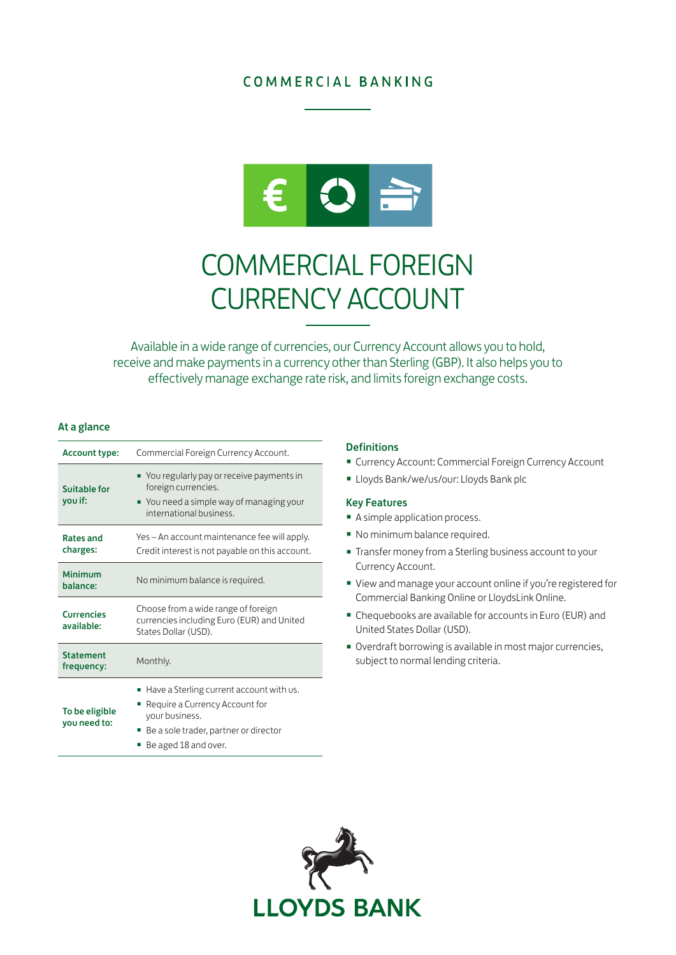## **COMMERCIAL BANKING**



# COMMERCIAL FOREIGN CURRENCY ACCOUNT

Available in a wide range of currencies, our Currency Account allows you to hold, receive and make payments in a currency other than Sterling (GBP). It also helps you to effectively manage exchange rate risk, and limits foreign exchange costs.

## At a glance

| <b>Account type:</b>            | Commercial Foreign Currency Account.                                                                                                                               |
|---------------------------------|--------------------------------------------------------------------------------------------------------------------------------------------------------------------|
| Suitable for<br>you if:         | ■ You regularly pay or receive payments in<br>foreign currencies.<br>" You need a simple way of managing your<br>international business.                           |
| <b>Rates and</b><br>charges:    | Yes – An account maintenance fee will apply.<br>Credit interest is not payable on this account.                                                                    |
| Minimum<br>balance:             | No minimum balance is required.                                                                                                                                    |
| <b>Currencies</b><br>available: | Choose from a wide range of foreign<br>currencies including Euro (EUR) and United<br>States Dollar (USD).                                                          |
| <b>Statement</b><br>frequency:  | Monthly.                                                                                                                                                           |
| To be eligible<br>you need to:  | Have a Sterling current account with us.<br>ш<br>Require a Currency Account for<br>your business.<br>Be a sole trader, partner or director<br>Be aged 18 and over. |

### **Definitions**

- Currency Account: Commercial Foreign Currency Account
- Lloyds Bank/we/us/our: Lloyds Bank plc

## Key Features

- A simple application process.
- No minimum balance required.
- Transfer money from a Sterling business account to your Currency Account.
- View and manage your account online if you're registered for Commercial Banking Online or LloydsLink Online.
- Chequebooks are available for accounts in Euro (EUR) and United States Dollar (USD).
- Overdraft borrowing is available in most major currencies, subject to normal lending criteria.

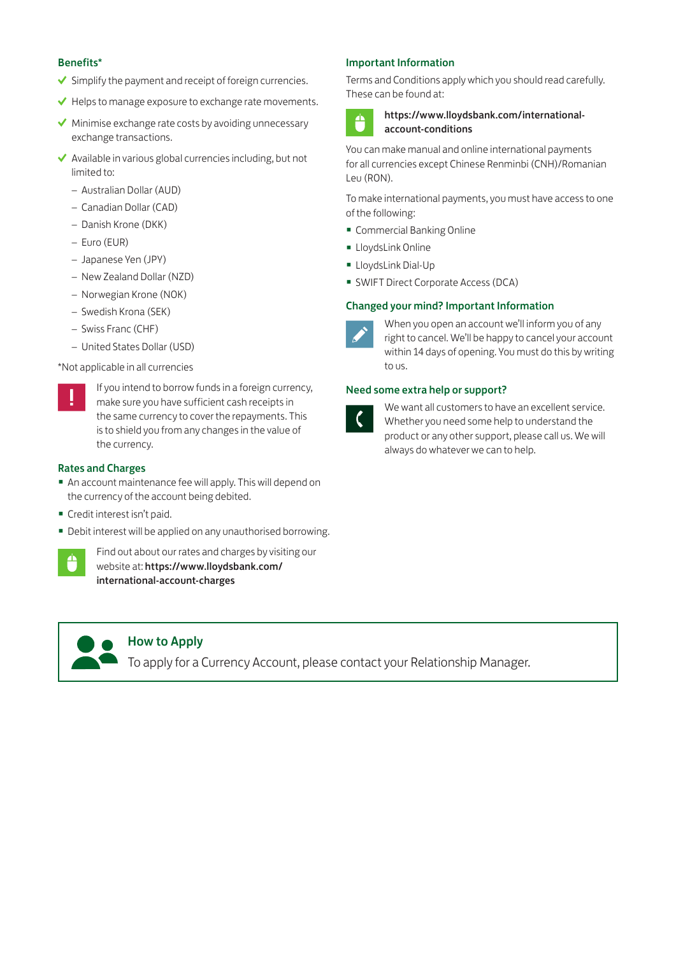## Benefits\*

- $\checkmark$  Simplify the payment and receipt of foreign currencies.
- $\blacktriangleright$  Helps to manage exposure to exchange rate movements.
- $\blacktriangleright$  Minimise exchange rate costs by avoiding unnecessary exchange transactions.
- $\blacktriangleright$  Available in various global currencies including, but not limited to:
	- Australian Dollar (AUD)
	- Canadian Dollar (CAD)
	- Danish Krone (DKK)
	- Euro (EUR)
	- Japanese Yen (JPY)
	- New Zealand Dollar (NZD)
	- Norwegian Krone (NOK)
	- Swedish Krona (SEK)
	- Swiss Franc (CHF)
	- United States Dollar (USD)

## \*Not applicable in all currencies

If you intend to borrow funds in a foreign currency, make sure you have sufficient cash receipts in the same currency to cover the repayments. This is to shield you from any changes in the value of the currency.

## Rates and Charges

- An account maintenance fee will apply. This will depend on the currency of the account being debited.
- Credit interest isn't paid.
- Debit interest will be applied on any unauthorised borrowing.



Find out about our rates and charges by visiting our website at: [https://www.lloydsbank.com/](https://www.lloydsbank.com/international-account-charges) [international-account-charges](https://www.lloydsbank.com/international-account-charges)

## How to Apply

To apply for a Currency Account, please contact your Relationship Manager.

## Important Information

Terms and Conditions apply which you should read carefully. These can be found at:



## [https://www.lloydsbank.com/international](https://www.lloydsbank.com/international-account-conditions)[account-conditions](https://www.lloydsbank.com/international-account-conditions)

You can make manual and online international payments for all currencies except Chinese Renminbi (CNH)/Romanian Leu (RON).

To make international payments, you must have access to one of the following:

- Commercial Banking Online
- LloydsLink Online
- LloydsLink Dial-Up
- SWIFT Direct Corporate Access (DCA)

## Changed your mind? Important Information



When you open an account we'll inform you of any right to cancel. We'll be happy to cancel your account within 14 days of opening. You must do this by writing to us.

## Need some extra help or support?



We want all customers to have an excellent service. Whether you need some help to understand the product or any other support, please call us. We will always do whatever we can to help.